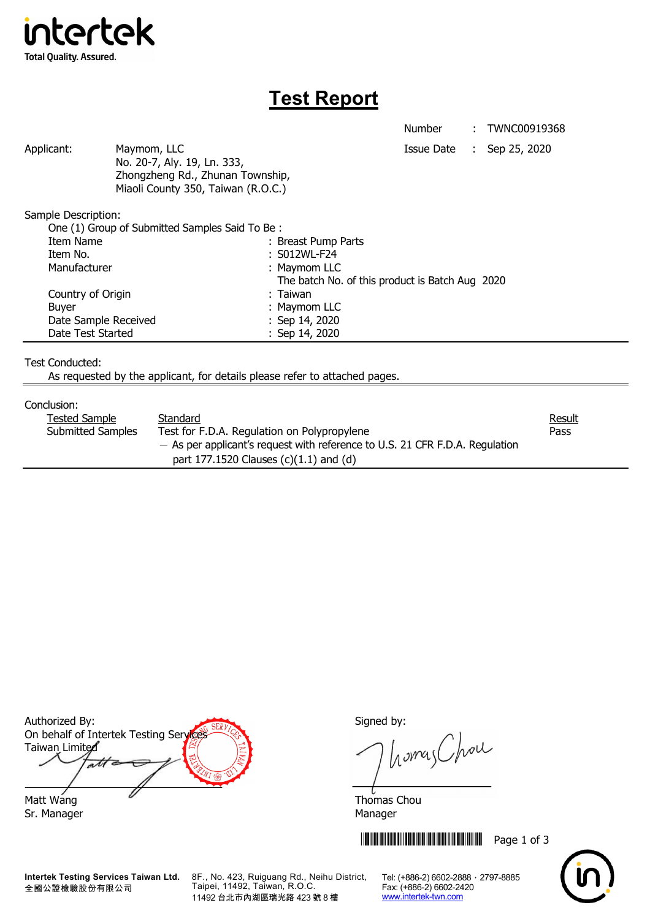

## **Test Report**

Number : TWNC00919368

Applicant: Maymom, LLC Maymon, ILC Applicant: Sep 25, 2020 No. 20-7, Aly. 19, Ln. 333, Zhongzheng Rd., Zhunan Township, Miaoli County 350, Taiwan (R.O.C.)

Sample Description:

| One (1) Group of Submitted Samples Said To Be: |                                                 |  |
|------------------------------------------------|-------------------------------------------------|--|
| Item Name                                      | : Breast Pump Parts                             |  |
| Item No.                                       | : S012WL-F24                                    |  |
| Manufacturer                                   | : Maymom LLC                                    |  |
|                                                | The batch No. of this product is Batch Aug 2020 |  |
| Country of Origin                              | : Taiwan                                        |  |
| <b>Buyer</b>                                   | : Maymom LLC                                    |  |
| Date Sample Received                           | : Sep $14, 2020$                                |  |
| Date Test Started                              | : Sep 14, 2020                                  |  |

Test Conducted:

As requested by the applicant, for details please refer to attached pages.

## Conclusion:

| ------------             |                                                                                |        |  |  |
|--------------------------|--------------------------------------------------------------------------------|--------|--|--|
| Tested Sample            | Standard                                                                       | Result |  |  |
| <b>Submitted Samples</b> | Test for F.D.A. Regulation on Polypropylene                                    | Pass   |  |  |
|                          | $-$ As per applicant's request with reference to U.S. 21 CFR F.D.A. Regulation |        |  |  |
|                          | part 177.1520 Clauses $(c)(1.1)$ and $(d)$                                     |        |  |  |

Authorized By: Signed by: On behalf of Intertek Testing Services Taiwan Limited  $\overline{\mathcal{A}}$ Matt Wang  $\overline{a}$  Matt Wang

Sr. Manager Manager Manager Manager Manager

**Intertek Testing Services Taiwan Ltd.** 全國公證檢驗股份有限公司

8F., No. 423, Ruiguang Rd., Neihu District, Taipei, 11492, Taiwan, R.O.C. 11492 台北市內湖區瑞光路 423 號 8 樓

homas Chou

**THEFT IN SET OF 3** THEFT IN SET OF 3



Tel: (+886-2) 6602-2888 · 2797-8885 Fax: (+886-2) 6602-2420 www.intertek-twn.com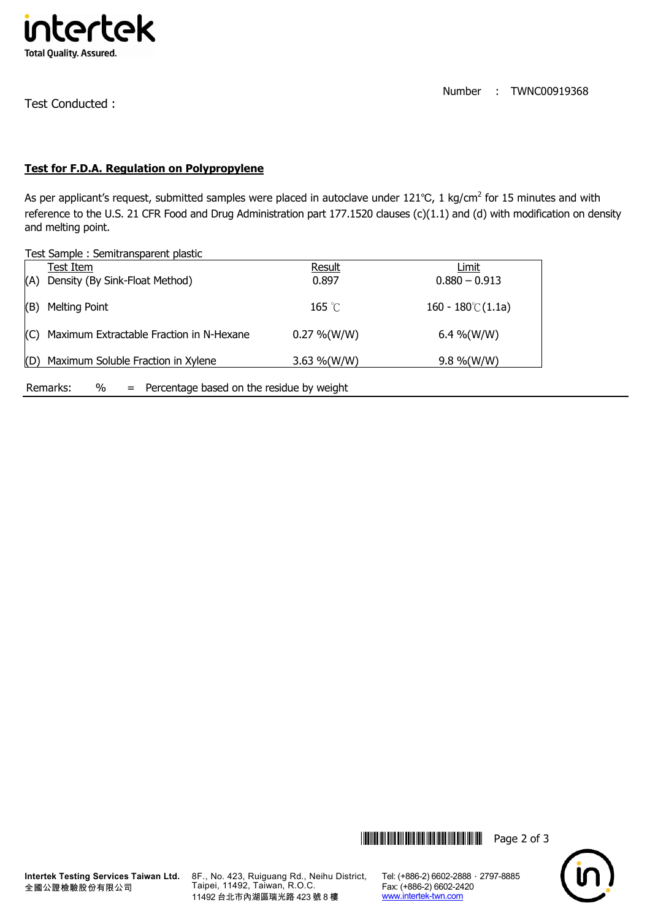

Test Conducted :

Number : TWNC00919368

## **Test for F.D.A. Regulation on Polypropylene**

As per applicant's request, submitted samples were placed in autoclave under 121℃, 1 kg/cm<sup>2</sup> for 15 minutes and with reference to the U.S. 21 CFR Food and Drug Administration part 177.1520 clauses (c)(1.1) and (d) with modification on density and melting point.

Test Sample : Semitransparent plastic

|                                                                   | Test Item                                | Result          | Limit                      |  |  |
|-------------------------------------------------------------------|------------------------------------------|-----------------|----------------------------|--|--|
| (A)                                                               | Density (By Sink-Float Method)           | 0.897           | $0.880 - 0.913$            |  |  |
| (B)                                                               | <b>Melting Point</b>                     | 165 $\degree$ C | $160 - 180^{\circ}$ (1.1a) |  |  |
| (C)                                                               | Maximum Extractable Fraction in N-Hexane | $0.27\%$ (W/W)  | 6.4 %(W/W)                 |  |  |
| Maximum Soluble Fraction in Xylene<br>(D)                         |                                          | 3.63 %(W/W)     | $9.8\%$ (W/W)              |  |  |
| $\%$<br>$=$ Percentage based on the residue by weight<br>Remarks: |                                          |                 |                            |  |  |

**Intertek Testing Services Taiwan Ltd.** 全國公證檢驗股份有限公司

8F., No. 423, Ruiguang Rd., Neihu District, Taipei, 11492, Taiwan, R.O.C. 11492 台北市內湖區瑞光路 423 號 8 樓

Tel: (+886-2) 6602-2888 · 2797-8885 Fax: (+886-2) 6602-2420 www.intertek-twn.com

**THEFT IN SET OF 3** THE SET OF 3